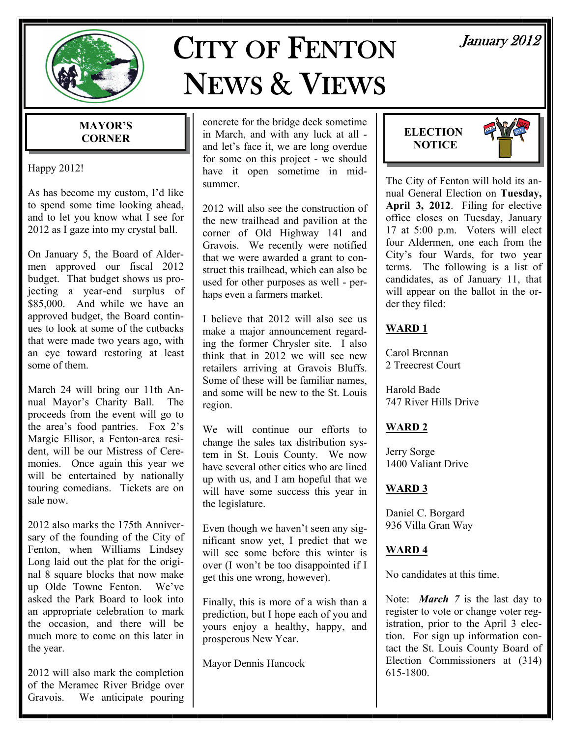

# CITY OF FENTON NEWS & VIEWS

#### **MAYOR'S CORNER**

Happy 2012!

As has become my custom, I'd like to spend some time looking ahead, and to let you know what I see for 2012 as I gaze into my crystal ball.

On January 5, the Board of Aldermen approved our fiscal 2012 budget. That budget shows us projecting a year-end surplus of \$85,000. And while we have an approved budget, the Board continues to look at some of the cutbacks that were made two years ago, with an eye toward restoring at least some of them.

March 24 will bring our 11th Annual Mayor's Charity Ball. The proceeds from the event will go to the area's food pantries. Fox 2's Margie Ellisor, a Fenton-area resident, will be our Mistress of Ceremonies. Once again this year we will be entertained by nationally touring comedians. Tickets are on sale now.

2012 also marks the 175th Anniversary of the founding of the City of Fenton, when Williams Lindsey Long laid out the plat for the original 8 square blocks that now make up Olde Towne Fenton. We've asked the Park Board to look into an appropriate celebration to mark the occasion, and there will be much more to come on this later in the year.

2012 will also mark the completion of the Meramec River Bridge over Gravois. We anticipate pouring concrete for the bridge deck sometime in March, and with any luck at all and let's face it, we are long overdue for some on this project - we should have it open sometime in midsummer.

2012 will also see the construction of the new trailhead and pavilion at the corner of Old Highway 141 and Gravois. We recently were notified that we were awarded a grant to construct this trailhead, which can also be used for other purposes as well - perhaps even a farmers market.

I believe that 2012 will also see us make a major announcement regarding the former Chrysler site. I also think that in 2012 we will see new retailers arriving at Gravois Bluffs. Some of these will be familiar names, and some will be new to the St. Louis region.

We will continue our efforts to change the sales tax distribution system in St. Louis County. We now have several other cities who are lined up with us, and I am hopeful that we will have some success this year in the legislature.

Even though we haven't seen any significant snow yet, I predict that we will see some before this winter is over (I won't be too disappointed if I get this one wrong, however).

Finally, this is more of a wish than a prediction, but I hope each of you and yours enjoy a healthy, happy, and prosperous New Year.

Mayor Dennis Hancock

## January 2012





The City of Fenton will hold its annual General Election on **Tuesday, April 3, 2012**. Filing for elective office closes on Tuesday, January 17 at 5:00 p.m. Voters will elect four Aldermen, one each from the City's four Wards, for two year terms. The following is a list of candidates, as of January 11, that will appear on the ballot in the order they filed:

#### **WARD 1**

Carol Brennan 2 Treecrest Court

Harold Bade 747 River Hills Drive

### **WARD 2**

Jerry Sorge 1400 Valiant Drive

#### **WARD 3**

Daniel C. Borgard 936 Villa Gran Way

#### **WARD 4**

No candidates at this time.

Note: *March 7* is the last day to register to vote or change voter registration, prior to the April 3 election. For sign up information contact the St. Louis County Board of Election Commissioners at (314) 615-1800.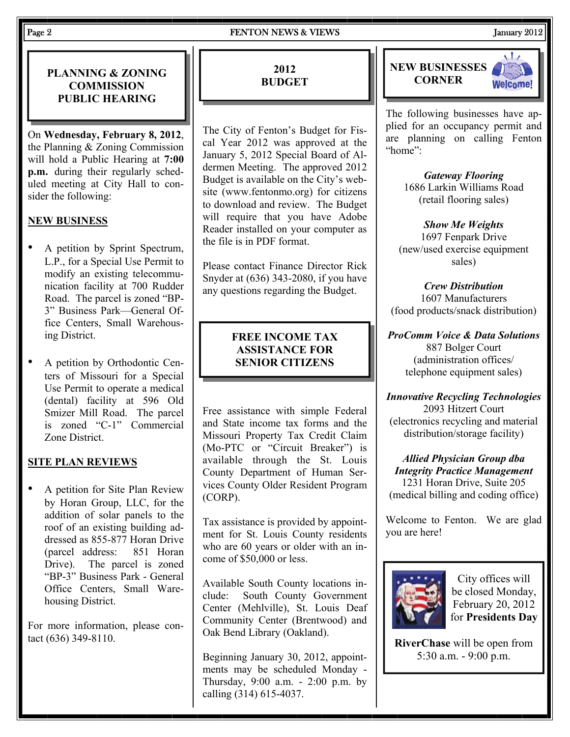#### Page 2 **FENTON NEWS & VIEWS** January 2012

PLANNING & ZONING **FULL PRIDGET** PLANNING **EXAMPLE 2012 COMMISSION PUBLIC HEARING** 

On **Wednesday, February 8, 2012**, the Planning & Zoning Commission will hold a Public Hearing at **7:00 p.m.** during their regularly scheduled meeting at City Hall to consider the following:

#### **NEW BUSINESS**

- A petition by Sprint Spectrum, L.P., for a Special Use Permit to modify an existing telecommunication facility at 700 Rudder Road. The parcel is zoned "BP-3" Business Park—General Office Centers, Small Warehousing District.
- A petition by Orthodontic Centers of Missouri for a Special Use Permit to operate a medical (dental) facility at 596 Old Smizer Mill Road. The parcel is zoned "C-1" Commercial Zone District.

#### **SITE PLAN REVIEWS**

• A petition for Site Plan Review by Horan Group, LLC, for the addition of solar panels to the roof of an existing building addressed as 855-877 Horan Drive (parcel address: 851 Horan Drive). The parcel is zoned "BP-3" Business Park - General Office Centers, Small Warehousing District.

For more information, please contact (636) 349-8110.

#### **2012 BUDGET**

The City of Fenton's Budget for Fiscal Year 2012 was approved at the January 5, 2012 Special Board of Aldermen Meeting. The approved 2012 Budget is available on the City's website (www.fentonmo.org) for citizens to download and review. The Budget will require that you have Adobe Reader installed on your computer as the file is in PDF format.

Please contact Finance Director Rick Snyder at (636) 343-2080, if you have any questions regarding the Budget.

#### **FREE INCOME TAX ASSISTANCE FOR SENIOR CITIZENS**

Free assistance with simple Federal and State income tax forms and the Missouri Property Tax Credit Claim (Mo-PTC or "Circuit Breaker") is available through the St. Louis County Department of Human Services County Older Resident Program (CORP).

Tax assistance is provided by appointment for St. Louis County residents who are 60 years or older with an income of \$50,000 or less.

Available South County locations include: South County Government Center (Mehlville), St. Louis Deaf Community Center (Brentwood) and Oak Bend Library (Oakland).

Beginning January 30, 2012, appointments may be scheduled Monday - Thursday, 9:00 a.m. - 2:00 p.m. by calling (314) 615-4037.





The following businesses have applied for an occupancy permit and are planning on calling Fenton "home":

> *Gateway Flooring*  1686 Larkin Williams Road (retail flooring sales)

*Show Me Weights*  1697 Fenpark Drive (new/used exercise equipment sales)

*Crew Distribution*  1607 Manufacturers (food products/snack distribution)

*ProComm Voice & Data Solutions*  887 Bolger Court (administration offices/ telephone equipment sales)

*Innovative Recycling Technologies*  2093 Hitzert Court (electronics recycling and material distribution/storage facility)

*Allied Physician Group dba Integrity Practice Management*  1231 Horan Drive, Suite 205 (medical billing and coding office)

Welcome to Fenton. We are glad you are here!



City offices will be closed Monday, February 20, 2012 for **Presidents Day** 

**RiverChase** will be open from 5:30 a.m. - 9:00 p.m.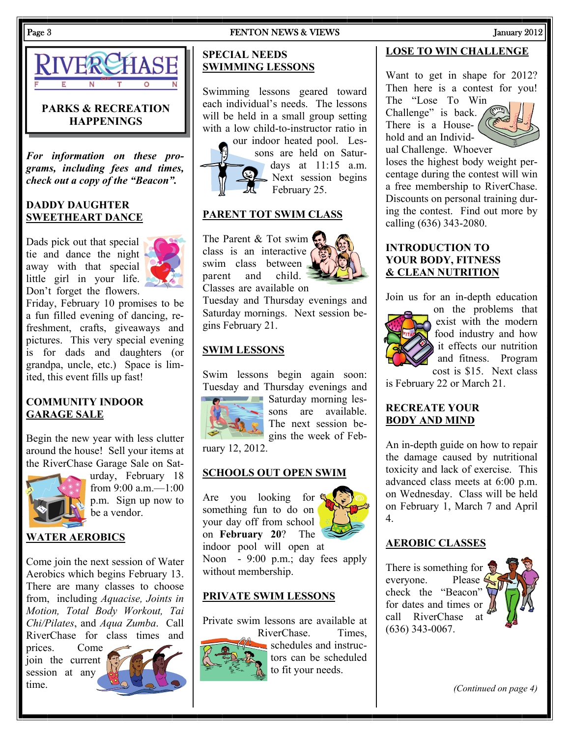Swimming lessons geared toward



#### **PARKS & RECREATION HAPPENINGS**

*For information on these programs, including fees and times, check out a copy of the "Beacon".* 

#### **DADDY DAUGHTER SWEETHEART DANCE**

Dads pick out that special tie and dance the night away with that special little girl in your life. Don't forget the flowers.



Friday, February 10 promises to be a fun filled evening of dancing, refreshment, crafts, giveaways and pictures. This very special evening is for dads and daughters (or grandpa, uncle, etc.) Space is limited, this event fills up fast!

#### **COMMUNITY INDOOR GARAGE SALE**

Begin the new year with less clutter around the house! Sell your items at the RiverChase Garage Sale on Sat-



urday, February 18 from 9:00 a.m.—1:00 p.m. Sign up now to be a vendor.

#### **WATER AEROBICS**

Come join the next session of Water Aerobics which begins February 13. There are many classes to choose from, including *Aquacise, Joints in Motion, Total Body Workout, Tai Chi/Pilates*, and *Aqua Zumba*. Call RiverChase for class times and

prices. Come join the current session at any time.



#### each individual's needs. The lessons will be held in a small group setting with a low child-to-instructor ratio in



**SPECIAL NEEDS** 

**SWIMMING LESSONS**

our indoor heated pool. Lessons are held on Saturdays at 11:15 a.m. Next session begins February 25.

#### **PARENT TOT SWIM CLASS**

The Parent & Tot swim class is an interactive swim class between parent and child. Classes are available on

Tuesday and Thursday evenings and Saturday mornings. Next session begins February 21.

#### **SWIM LESSONS**

Swim lessons begin again soon: Tuesday and Thursday evenings and



**Saturday morning les**sons are available. The next session begins the week of Feb-

ruary 12, 2012.

#### **SCHOOLS OUT OPEN SWIM**

Are you looking for something fun to do on your day off from school on **February 20**? The



indoor pool will open at Noon - 9:00 p.m.; day fees apply without membership.

#### **PRIVATE SWIM LESSONS**

Private swim lessons are available at



RiverChase. Times, schedules and instructors can be scheduled to fit your needs.

#### **LOSE TO WIN CHALLENGE**

Want to get in shape for 2012? Then here is a contest for you!

The "Lose To Win Challenge" is back. There is a Household and an Individual Challenge. Whoever



loses the highest body weight percentage during the contest will win a free membership to RiverChase. Discounts on personal training during the contest. Find out more by calling (636) 343-2080.

#### **INTRODUCTION TO YOUR BODY, FITNESS & CLEAN NUTRITION**

Join us for an in-depth education



on the problems that exist with the modern food industry and how it effects our nutrition and fitness. Program cost is \$15. Next class

is February 22 or March 21.

#### **RECREATE YOUR BODY AND MIND**

An in-depth guide on how to repair the damage caused by nutritional toxicity and lack of exercise. This advanced class meets at 6:00 p.m. on Wednesday. Class will be held on February 1, March 7 and April 4.

#### **AEROBIC CLASSES**

There is something for  $\ddot{\mathbf{x}}$ everyone. Please check the "Beacon" for dates and times or call RiverChase at (636) 343-0067.



*(Continued on page 4)*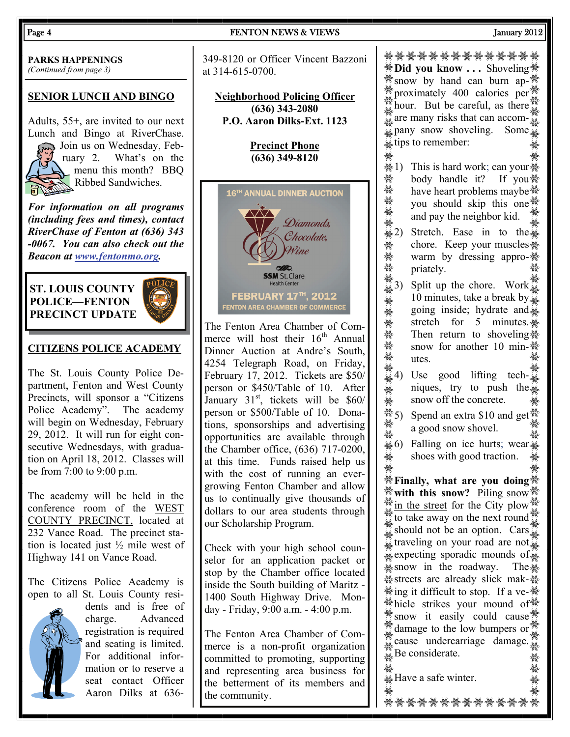**PARKS HAPPENINGS** 

*(Continued from page 3)* 

#### **SENIOR LUNCH AND BINGO**

Adults, 55+, are invited to our next Lunch and Bingo at RiverChase. Join us on Wednesday, February 2. What's on the menu this month? BBQ Ribbed Sandwiches.

*For information on all programs (including fees and times), contact RiverChase of Fenton at (636) 343 -0067. You can also check out the Beacon at [www.fentonmo.org](http://www.fentonmo.org/).*

#### **ST. LOUIS COUNTY POLICE—FENTON PRECINCT UPDATE**



#### **CITIZENS POLICE ACADEMY**

The St. Louis County Police Department, Fenton and West County Precincts, will sponsor a "Citizens Police Academy". The academy will begin on Wednesday, February 29, 2012. It will run for eight consecutive Wednesdays, with graduation on April 18, 2012. Classes will be from 7:00 to 9:00 p.m.

The academy will be held in the conference room of the WEST COUNTY PRECINCT, located at 232 Vance Road. The precinct station is located just ½ mile west of Highway 141 on Vance Road.

The Citizens Police Academy is open to all St. Louis County resi-



dents and is free of charge. Advanced registration is required and seating is limited. For additional information or to reserve a seat contact Officer Aaron Dilks at 636-

#### Page 4 **FENTON NEWS & VIEWS** THEN TO January 2012

349-8120 or Officer Vincent Bazzoni at 314-615-0700.

**Neighborhood Policing Officer (636) 343-2080 P.O. Aaron Dilks-Ext. 1123** 

> **Precinct Phone (636) 349-8120**



The Fenton Area Chamber of Commerce will host their  $16<sup>th</sup>$  Annual Dinner Auction at Andre's South, 4254 Telegraph Road, on Friday, February 17, 2012. Tickets are \$50/ person or \$450/Table of 10. After January  $31<sup>st</sup>$ , tickets will be \$60/ person or \$500/Table of 10. Donations, sponsorships and advertising opportunities are available through the Chamber office, (636) 717-0200, at this time. Funds raised help us with the cost of running an evergrowing Fenton Chamber and allow us to continually give thousands of dollars to our area students through our Scholarship Program.

Check with your high school counselor for an application packet or stop by the Chamber office located inside the South building of Maritz - 1400 South Highway Drive. Monday - Friday, 9:00 a.m. - 4:00 p.m.

The Fenton Area Chamber of Commerce is a non-profit organization committed to promoting, supporting and representing area business for the betterment of its members and the community.

**※Did you know ...** Shoveling ※ **Show** by hand can burn approximately 400 calories per  $\frac{36}{10}$  $\sum_{n=1}^{\infty}$  hour. But be careful, as there  $\sum_{n=1}^{\infty}$ are many risks that can accom- $\frac{36}{26}$ <br>are many snow shoveling. Some  $\sum_{n=1}^{\infty}$  pany snow shoveling. tips to remember:

- $\frac{1}{2}$  1) This is hard work; can your  $\frac{1}{2}$ ₩ body handle it? If you: where heart problems maybe  $\frac{2}{3}$ <br>bouy nantice it! If you  $\frac{2}{3}$ <br>you should skip this one  $\frac{2}{3}$ <br>and pay the neighbor kid.<br> $\frac{2}{3}$ <br> $\frac{2}{3}$ <br> $\frac{2}{3}$ <br>Stretch. Ease in to the  $\frac{2}{3}$ have heart problems maybe<sup>«\*</sup>\* you should skip this one and pay the neighbor kid.
	- chore. Keep your muscles warm by dressing appro-**※** priately.
- <del>※</del><br>
solution the chore. Keep your muscles<br>
solution by dressing appro-<br>
priately.<br>
and priately.<br> **3)** Split up the chore. Work<br>
4)<br>
4) Split up the chore. Work<br>
10 minutes, take a break by,<br>
going inside; hydrate and.<br> 10 minutes, take a break by $\frac{3}{4}$ going inside; hydrate and. stretch for 5 minutes. Then return to shoveling. snow for another 10 min-※ utes.
	- 4) Use good lifting techniques, try to push the snow off the concrete.
- $\frac{1}{2}$  5) Spend an extra \$10 and get  $\frac{1}{2}$ a good snow shovel.
- $\frac{1}{2}$  a good show shove.<br>  $\frac{1}{2}$  6) Falling on ice hurts; wear shoes with good traction.

**Finally, what are you doing with this snow?** Piling snow  $\frac{1}{2}$  in the street for the City plow to take away on the next round should not be an option.  $\text{Cars}_{\frac{36}{26}}$ traveling on your road are not. expecting sporadic mounds of. snow in the roadway. The **\*streets** are already slick mak-\* **※ing it difficult to stop. If a ve-※ <sup>※</sup>thicle strikes your mound of**  $\mathcal{W}$  snow it easily could cause  $\mathcal{W}$ damage to the low bumpers or  $\frac{25}{34}$ cause undercarriage damage.  $B$ e considerate.

තියෙ තිබේ. එම විදේශ කළේ තිබේ දින තිබේ. එම විදේශ කළේ තිබේ. එම විදේශ කළේ තිබේ. එම විදේශ කළේ කළේ කළේ.<br>ත්වුණුකාර තිබේ. තේවුන් තේවුණු තේවුන් තේවුන් තේවුන් තේවුන් තේවුන් තේවුන් තේවුන් තේවුන් තේවුන් තේවුන් තේවුන් තේව<br>එ<sup>06</sup>6 එ<sup>06</sup>

\*<br>....¥Have a safe winter.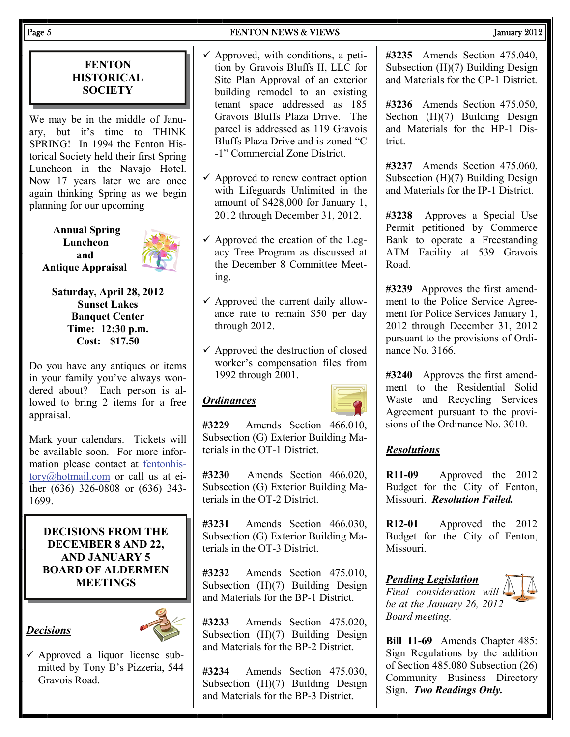#### **FENTON HISTORICAL SOCIETY**

We may be in the middle of January, but it's time to THINK SPRING! In 1994 the Fenton Historical Society held their first Spring Luncheon in the Navajo Hotel. Now 17 years later we are once again thinking Spring as we begin planning for our upcoming

**Annual Spring Luncheon and Antique Appraisal** 



**Saturday, April 28, 2012 Sunset Lakes Banquet Center Time: 12:30 p.m. Cost: \$17.50** 

Do you have any antiques or items in your family you've always wondered about? Each person is allowed to bring 2 items for a free appraisal.

Mark your calendars. Tickets will be available soon. For more information please contact at [fentonhis](mailto:fentonhistory@hotmail.com)[tory@hotmail.com](mailto:fentonhistory@hotmail.com) or call us at either (636) 326-0808 or (636) 343- 1699.

**DECISIONS FROM THE DECEMBER 8 AND 22, AND JANUARY 5 BOARD OF ALDERMEN MEETINGS** 

#### *Decisions*



 $\checkmark$  Approved a liquor license submitted by Tony B's Pizzeria, 544 Gravois Road.

- $\checkmark$  Approved, with conditions, a petition by Gravois Bluffs II, LLC for Site Plan Approval of an exterior building remodel to an existing tenant space addressed as 185 Gravois Bluffs Plaza Drive. The parcel is addressed as 119 Gravois Bluffs Plaza Drive and is zoned "C -1" Commercial Zone District.
- $\checkmark$  Approved to renew contract option with Lifeguards Unlimited in the amount of \$428,000 for January 1, 2012 through December 31, 2012.
- $\checkmark$  Approved the creation of the Legacy Tree Program as discussed at the December 8 Committee Meeting.
- $\checkmark$  Approved the current daily allowance rate to remain \$50 per day through 2012.
- $\checkmark$  Approved the destruction of closed worker's compensation files from 1992 through 2001.

#### *Ordinances*



**#3229** Amends Section 466.010, Subsection (G) Exterior Building Materials in the OT-1 District.

**#3230** Amends Section 466.020, Subsection (G) Exterior Building Materials in the OT-2 District.

**#3231** Amends Section 466.030, Subsection (G) Exterior Building Materials in the OT-3 District.

**#3232** Amends Section 475.010, Subsection (H)(7) Building Design and Materials for the BP-1 District.

**#3233** Amends Section 475.020, Subsection (H)(7) Building Design and Materials for the BP-2 District.

**#3234** Amends Section 475.030, Subsection (H)(7) Building Design and Materials for the BP-3 District.

**#3235** Amends Section 475.040, Subsection (H)(7) Building Design and Materials for the CP-1 District.

**#3236** Amends Section 475.050, Section (H)(7) Building Design and Materials for the HP-1 District.

**#3237** Amends Section 475.060, Subsection (H)(7) Building Design and Materials for the IP-1 District.

**#3238** Approves a Special Use Permit petitioned by Commerce Bank to operate a Freestanding ATM Facility at 539 Gravois Road.

**#3239** Approves the first amendment to the Police Service Agreement for Police Services January 1, 2012 through December 31, 2012 pursuant to the provisions of Ordinance No. 3166.

**#3240** Approves the first amendment to the Residential Solid Waste and Recycling Services Agreement pursuant to the provisions of the Ordinance No. 3010.

#### *Resolutions*

**R11-09** Approved the 2012 Budget for the City of Fenton, Missouri. *Resolution Failed.* 

**R12-01** Approved the 2012 Budget for the City of Fenton, Missouri.

*Pending Legislation Final consideration will be at the January 26, 2012 Board meeting.* 



**Bill 11-69** Amends Chapter 485: Sign Regulations by the addition of Section 485.080 Subsection (26) Community Business Directory Sign. *Two Readings Only.*